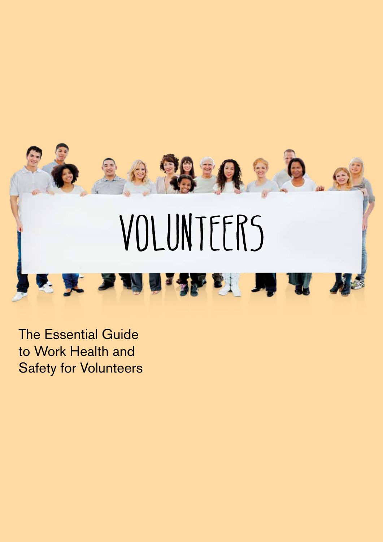

The Essential Guide to Work Health and Safety for Volunteers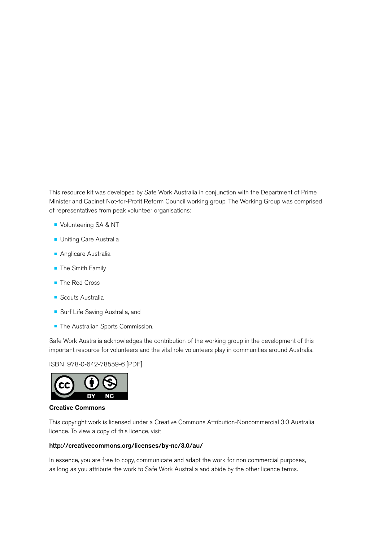This resource kit was developed by Safe Work Australia in conjunction with the Department of Prime Minister and Cabinet Not-for-Profit Reform Council working group. The Working Group was comprised of representatives from peak volunteer organisations:

- **Volunteering SA & NT**
- **Uniting Care Australia**
- **Anglicare Australia**
- **The Smith Family**
- The Red Cross
- **•** Scouts Australia
- **Surf Life Saving Australia, and**
- **The Australian Sports Commission.**

Safe Work Australia acknowledges the contribution of the working group in the development of this important resource for volunteers and the vital role volunteers play in communities around Australia.

### ISBN 978-0-642-78559-6 [PDF]



### Creative Commons

This copyright work is licensed under a Creative Commons Attribution-Noncommercial 3.0 Australia licence. To view a copy of this licence, visit

### http://creativecommons.org/licenses/by-nc/3.0/au/

In essence, you are free to copy, communicate and adapt the work for non commercial purposes, as long as you attribute the work to Safe Work Australia and abide by the other licence terms.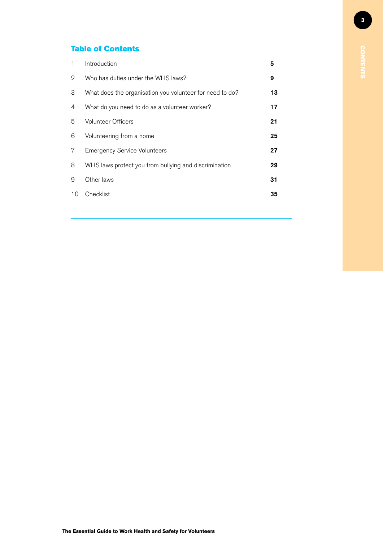### Table of Contents

| 1              | Introduction                                             | 5  |
|----------------|----------------------------------------------------------|----|
| $\overline{2}$ | Who has duties under the WHS laws?                       | 9  |
| 3              | What does the organisation you volunteer for need to do? | 13 |
| 4              | What do you need to do as a volunteer worker?            | 17 |
| 5              | <b>Volunteer Officers</b>                                | 21 |
| 6              | Volunteering from a home                                 | 25 |
| 7              | <b>Emergency Service Volunteers</b>                      | 27 |
| 8              | WHS laws protect you from bullying and discrimination    | 29 |
| 9              | Other laws                                               | 31 |
| 10             | Checklist                                                | 35 |
|                |                                                          |    |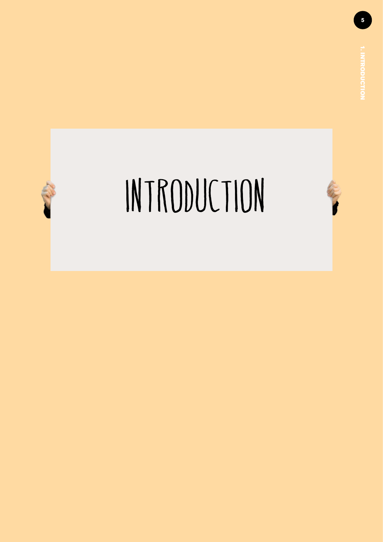<span id="page-4-0"></span>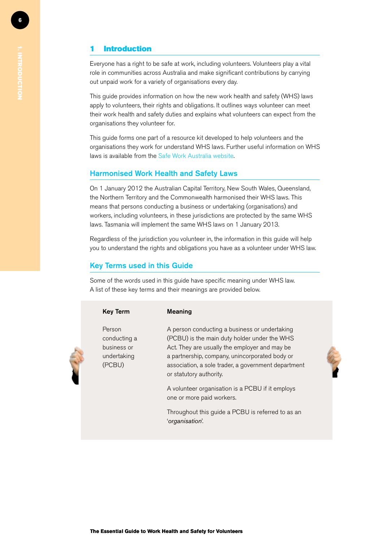### **Introduction**

Everyone has a right to be safe at work, including volunteers. Volunteers play a vital role in communities across Australia and make significant contributions by carrying out unpaid work for a variety of organisations every day.

This guide provides information on how the new work health and safety (WHS) laws apply to volunteers, their rights and obligations. It outlines ways volunteer can meet their work health and safety duties and explains what volunteers can expect from the organisations they volunteer for.

This guide forms one part of a resource kit developed to help volunteers and the organisations they work for understand WHS laws. Further useful information on WHS laws is available from the Safe Work Australia website.

### Harmonised Work Health and Safety Laws

On 1 January 2012 the Australian Capital Territory, New South Wales, Queensland, the Northern Territory and the Commonwealth harmonised their WHS laws. This means that persons conducting a business or undertaking (organisations) and workers, including volunteers, in these jurisdictions are protected by the same WHS laws. Tasmania will implement the same WHS laws on 1 January 2013.

Regardless of the jurisdiction you volunteer in, the information in this guide will help you to understand the rights and obligations you have as a volunteer under WHS law.

### Key Terms used in this Guide

Some of the words used in this guide have specific meaning under WHS law. A list of these key terms and their meanings are provided below.

| <b>Key Term</b>                                                | <b>Meaning</b>                                                                                                                                                                                                                                                                     |
|----------------------------------------------------------------|------------------------------------------------------------------------------------------------------------------------------------------------------------------------------------------------------------------------------------------------------------------------------------|
| Person<br>conducting a<br>business or<br>undertaking<br>(PCBU) | A person conducting a business or undertaking<br>(PCBU) is the main duty holder under the WHS<br>Act. They are usually the employer and may be<br>a partnership, company, unincorporated body or<br>association, a sole trader, a government department<br>or statutory authority. |
|                                                                | A volunteer organisation is a PCBU if it employs<br>one or more paid workers.                                                                                                                                                                                                      |
|                                                                | Throughout this guide a PCBU is referred to as an<br>'organisation'.                                                                                                                                                                                                               |
|                                                                |                                                                                                                                                                                                                                                                                    |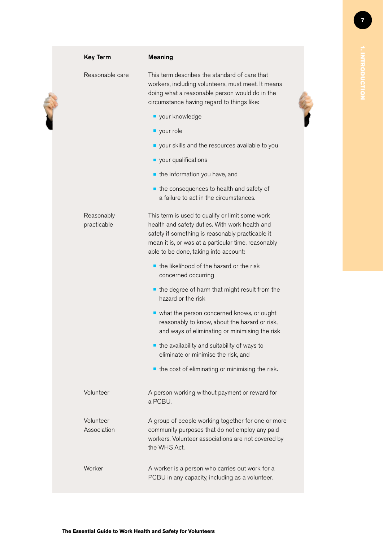| <b>Key Term</b>           | <b>Meaning</b>                                                                                                                                                                                                                                        |
|---------------------------|-------------------------------------------------------------------------------------------------------------------------------------------------------------------------------------------------------------------------------------------------------|
| Reasonable care           | This term describes the standard of care that<br>workers, including volunteers, must meet. It means<br>doing what a reasonable person would do in the<br>circumstance having regard to things like:                                                   |
|                           | vour knowledge                                                                                                                                                                                                                                        |
|                           | vour role                                                                                                                                                                                                                                             |
|                           | vour skills and the resources available to you                                                                                                                                                                                                        |
|                           | vour qualifications                                                                                                                                                                                                                                   |
|                           | the information you have, and                                                                                                                                                                                                                         |
|                           | the consequences to health and safety of<br>a failure to act in the circumstances.                                                                                                                                                                    |
| Reasonably<br>practicable | This term is used to qualify or limit some work<br>health and safety duties. With work health and<br>safety if something is reasonably practicable it<br>mean it is, or was at a particular time, reasonably<br>able to be done, taking into account: |
|                           | the likelihood of the hazard or the risk<br>concerned occurring                                                                                                                                                                                       |
|                           | the degree of harm that might result from the<br>hazard or the risk                                                                                                                                                                                   |
|                           | • what the person concerned knows, or ought<br>reasonably to know, about the hazard or risk,<br>and ways of eliminating or minimising the risk                                                                                                        |
|                           | the availability and suitability of ways to                                                                                                                                                                                                           |
|                           | eliminate or minimise the risk, and                                                                                                                                                                                                                   |
|                           | the cost of eliminating or minimising the risk.                                                                                                                                                                                                       |
| Volunteer                 | A person working without payment or reward for<br>a PCBU.                                                                                                                                                                                             |
| Volunteer<br>Association  | A group of people working together for one or more<br>community purposes that do not employ any paid<br>workers. Volunteer associations are not covered by<br>the WHS Act.                                                                            |
| Worker                    | A worker is a person who carries out work for a<br>PCBU in any capacity, including as a volunteer.                                                                                                                                                    |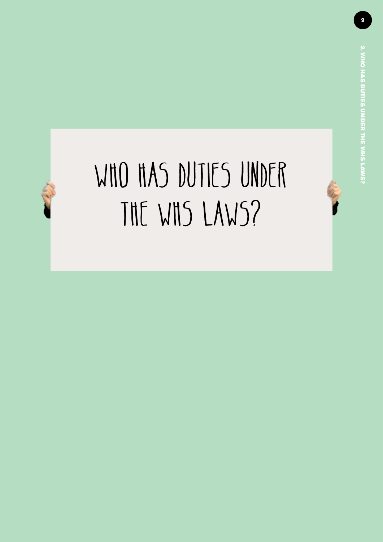### <span id="page-8-0"></span>WHO HAS DUTIES UNDER the WHS laws?

2. Who has duties under the WHS laws?**2. WHO HAS DUTIES UNDER THE WHS LAWS?**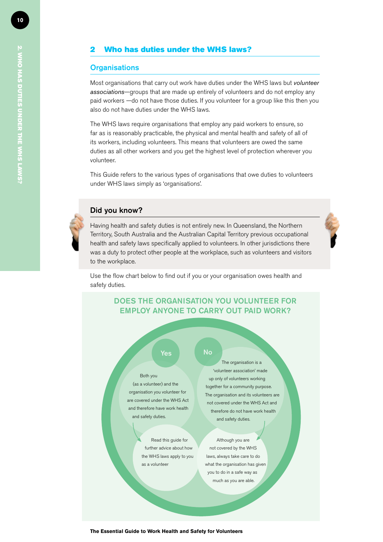### 2 Who has duties under the WHS laws?

### **Organisations**

Most organisations that carry out work have duties under the WHS laws but *volunteer associations*—groups that are made up entirely of volunteers and do not employ any paid workers —do not have those duties. If you volunteer for a group like this then you also do not have duties under the WHS laws.

The WHS laws require organisations that employ any paid workers to ensure, so far as is reasonably practicable, the physical and mental health and safety of all of its workers, including volunteers. This means that volunteers are owed the same duties as all other workers and you get the highest level of protection wherever you volunteer.

This Guide refers to the various types of organisations that owe duties to volunteers under WHS laws simply as 'organisations'.

### Did you know?

Having health and safety duties is not entirely new. In Queensland, the Northern Territory, South Australia and the Australian Capital Territory previous occupational health and safety laws specifically applied to volunteers. In other jurisdictions there was a duty to protect other people at the workplace, such as volunteers and visitors to the workplace.

Use the flow chart below to find out if you or your organisation owes health and safety duties.

### DOES THE ORGANISATION YOU VOLUNTEER FOR EMPLOY ANYONE TO CARRY OUT PAID WORK?

### Yes **No**

Both you (as a volunteer) and the organisation you volunteer for are covered under the WHS Act and therefore have work health and safety duties.

> Read this guide for further advice about how the WHS laws apply to you as a volunteer

The organisation is a 'volunteer association' made up only of volunteers working together for a community purpose. The organisation and its volunteers are not covered under the WHS Act and therefore do not have work health and safety duties.

Although you are not covered by the WHS laws, always take care to do what the organisation has given you to do in a safe way as much as you are able.

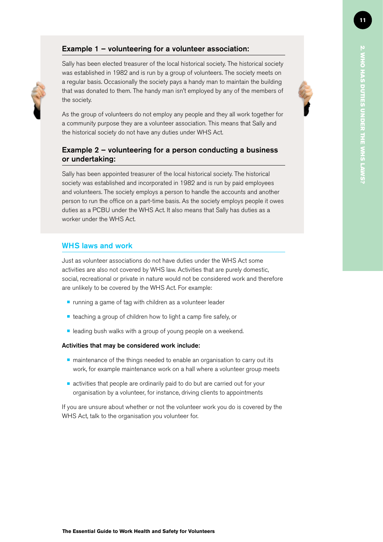# 2. Who has duties under the WHS laws?**2. WHO HAS DUTIES UNDER THE WHS LAWS**

### Example 1 – volunteering for a volunteer association:

Sally has been elected treasurer of the local historical society. The historical society was established in 1982 and is run by a group of volunteers. The society meets on a regular basis. Occasionally the society pays a handy man to maintain the building that was donated to them. The handy man isn't employed by any of the members of the society.

As the group of volunteers do not employ any people and they all work together for a community purpose they are a volunteer association. This means that Sally and the historical society do not have any duties under WHS Act.

### Example 2 – volunteering for a person conducting a business or undertaking:

Sally has been appointed treasurer of the local historical society. The historical society was established and incorporated in 1982 and is run by paid employees and volunteers. The society employs a person to handle the accounts and another person to run the office on a part-time basis. As the society employs people it owes duties as a PCBU under the WHS Act. It also means that Sally has duties as a worker under the WHS Act.

### WHS laws and work

Just as volunteer associations do not have duties under the WHS Act some activities are also not covered by WHS law. Activities that are purely domestic, social, recreational or private in nature would not be considered work and therefore are unlikely to be covered by the WHS Act. For example:

- $\blacksquare$  running a game of tag with children as a volunteer leader
- $\blacksquare$  teaching a group of children how to light a camp fire safely, or
- $\blacksquare$  leading bush walks with a group of young people on a weekend.

### Activities that may be considered work include:

- $\blacksquare$  maintenance of the things needed to enable an organisation to carry out its work, for example maintenance work on a hall where a volunteer group meets
- $\blacksquare$  activities that people are ordinarily paid to do but are carried out for your organisation by a volunteer, for instance, driving clients to appointments

If you are unsure about whether or not the volunteer work you do is covered by the WHS Act, talk to the organisation you volunteer for.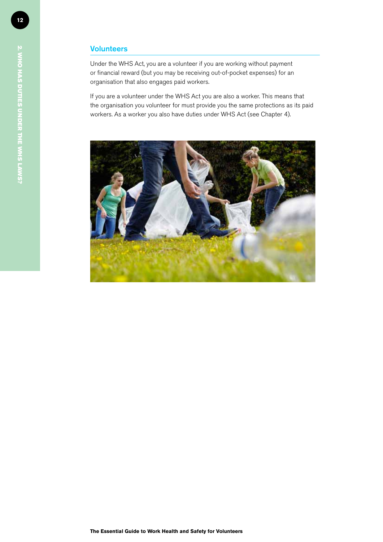### **Volunteers**

Under the WHS Act, you are a volunteer if you are working without payment or financial reward (but you may be receiving out-of-pocket expenses) for an organisation that also engages paid workers.

If you are a volunteer under the WHS Act you are also a worker. This means that the organisation you volunteer for must provide you the same protections as its paid workers. As a worker you also have duties under WHS Act (see Chapter 4).

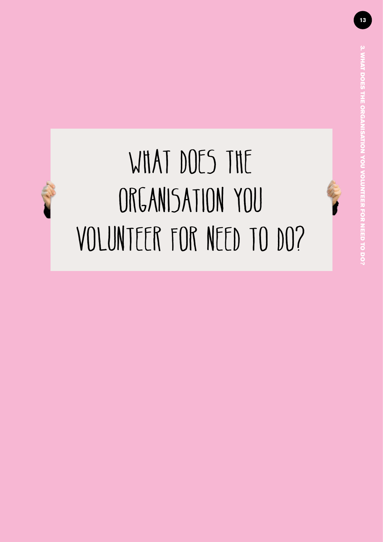### <span id="page-12-0"></span>WHAT DOES THE ORGANISATION YOU volunteer for need to do?

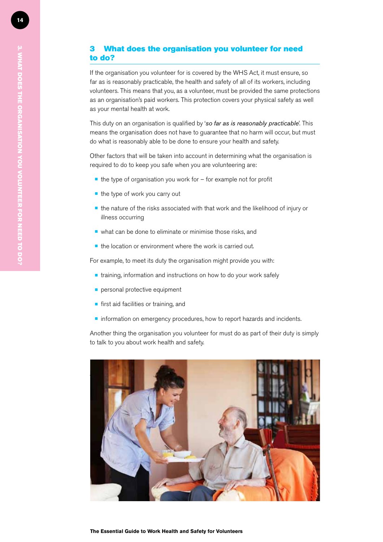### 3 What does the organisation you volunteer for need to do?

If the organisation you volunteer for is covered by the WHS Act, it must ensure, so far as is reasonably practicable, the health and safety of all of its workers, including volunteers. This means that you, as a volunteer, must be provided the same protections as an organisation's paid workers. This protection covers your physical safety as well as your mental health at work.

This duty on an organisation is qualified by '*so far as is reasonably practicable*'. This means the organisation does not have to guarantee that no harm will occur, but must do what is reasonably able to be done to ensure your health and safety.

Other factors that will be taken into account in determining what the organisation is required to do to keep you safe when you are volunteering are:

- $\blacksquare$  the type of organisation you work for for example not for profit
- $\blacksquare$  the type of work you carry out
- $\blacksquare$  the nature of the risks associated with that work and the likelihood of injury or illness occurring
- $\blacksquare$  what can be done to eliminate or minimise those risks, and
- $\blacksquare$  the location or environment where the work is carried out.

For example, to meet its duty the organisation might provide you with:

- $\blacksquare$  training, information and instructions on how to do your work safely
- $\blacksquare$  personal protective equipment
- $\blacksquare$  first aid facilities or training, and
- $\blacksquare$  information on emergency procedures, how to report hazards and incidents.

Another thing the organisation you volunteer for must do as part of their duty is simply to talk to you about work health and safety.

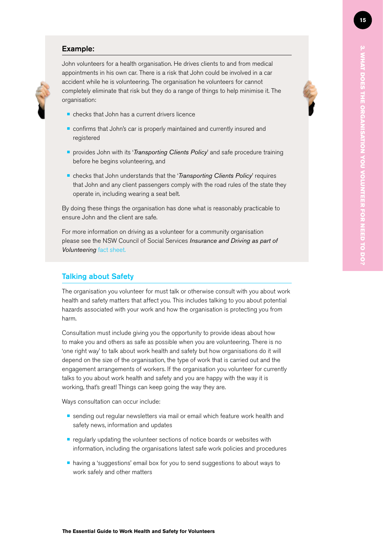### Example:

John volunteers for a health organisation. He drives clients to and from medical appointments in his own car. There is a risk that John could be involved in a car accident while he is volunteering. The organisation he volunteers for cannot completely eliminate that risk but they do a range of things to help minimise it. The organisation:

- $\blacksquare$  checks that John has a current drivers licence
- confirms that John's car is properly maintained and currently insured and registered
- **•** provides John with its '*Transporting Clients Policy*' and safe procedure training before he begins volunteering, and
- **•** checks that John understands that the '*Transporting Clients Policy'* requires that John and any client passengers comply with the road rules of the state they operate in, including wearing a seat belt.

By doing these things the organisation has done what is reasonably practicable to ensure John and the client are safe.

For more information on driving as a volunteer for a community organisation please see the NSW Council of Social Services *Insurance and Driving as part of Volunteering* [fact sheet.](http://www.ncoss.org.au/projects/insurance/downloads/resources/120404-Driving-and-volunteers-2012-update.pdf)

### Talking about Safety

The organisation you volunteer for must talk or otherwise consult with you about work health and safety matters that affect you. This includes talking to you about potential hazards associated with your work and how the organisation is protecting you from harm.

Consultation must include giving you the opportunity to provide ideas about how to make you and others as safe as possible when you are volunteering. There is no 'one right way' to talk about work health and safety but how organisations do it will depend on the size of the organisation, the type of work that is carried out and the engagement arrangements of workers. If the organisation you volunteer for currently talks to you about work health and safety and you are happy with the way it is working, that's great! Things can keep going the way they are.

Ways consultation can occur include:

- **•** sending out regular newsletters via mail or email which feature work health and safety news, information and updates
- $\blacksquare$  regularly updating the volunteer sections of notice boards or websites with information, including the organisations latest safe work policies and procedures
- $\blacksquare$  having a 'suggestions' email box for you to send suggestions to about ways to work safely and other matters

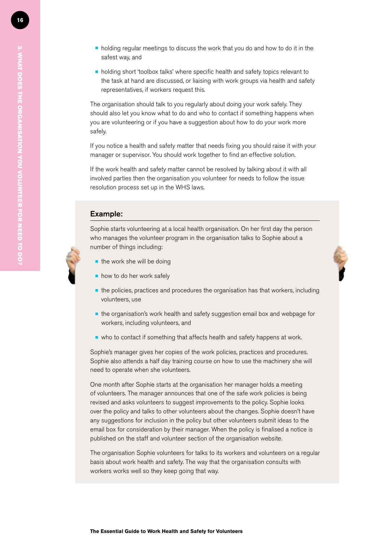- $\blacksquare$  holding regular meetings to discuss the work that you do and how to do it in the safest way, and
- holding short 'toolbox talks' where specific health and safety topics relevant to the task at hand are discussed, or liaising with work groups via health and safety representatives, if workers request this.

The organisation should talk to you regularly about doing your work safely. They should also let you know what to do and who to contact if something happens when you are volunteering or if you have a suggestion about how to do your work more safely.

If you notice a health and safety matter that needs fixing you should raise it with your manager or supervisor. You should work together to find an effective solution.

If the work health and safety matter cannot be resolved by talking about it with all involved parties then the organisation you volunteer for needs to follow the issue resolution process set up in the WHS laws.

### Example:

Sophie starts volunteering at a local health organisation. On her first day the person who manages the volunteer program in the organisation talks to Sophie about a number of things including:

- $\blacksquare$  the work she will be doing
- $\blacksquare$  how to do her work safely
- $\blacksquare$  the policies, practices and procedures the organisation has that workers, including volunteers, use
- $\blacksquare$  the organisation's work health and safety suggestion email box and webpage for workers, including volunteers, and
- $\blacksquare$  who to contact if something that affects health and safety happens at work.

Sophie's manager gives her copies of the work policies, practices and procedures. Sophie also attends a half day training course on how to use the machinery she will need to operate when she volunteers.

One month after Sophie starts at the organisation her manager holds a meeting of volunteers. The manager announces that one of the safe work policies is being revised and asks volunteers to suggest improvements to the policy. Sophie looks over the policy and talks to other volunteers about the changes. Sophie doesn't have any suggestions for inclusion in the policy but other volunteers submit ideas to the email box for consideration by their manager. When the policy is finalised a notice is published on the staff and volunteer section of the organisation website.

The organisation Sophie volunteers for talks to its workers and volunteers on a regular basis about work health and safety. The way that the organisation consults with workers works well so they keep going that way.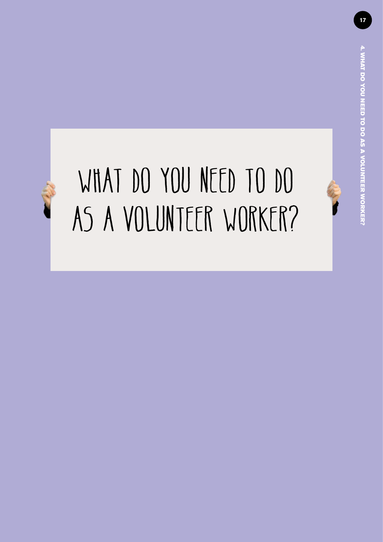# <span id="page-16-0"></span>WHAT DO YOU NEED TO DO AS A VOLUNTEER WORKER?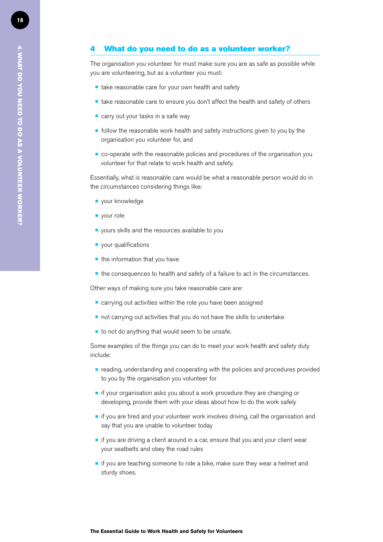The organisation you volunteer for must make sure you are as safe as possible while you are volunteering, but as a volunteer you must:

- $\blacksquare$  take reasonable care for your own health and safety
- $\blacksquare$  take reasonable care to ensure you don't affect the health and safety of others
- $\blacksquare$  carry out your tasks in a safe way
- $\blacksquare$  follow the reasonable work health and safety instructions given to you by the organisation you volunteer for, and
- $\blacksquare$  co-operate with the reasonable policies and procedures of the organisation you volunteer for that relate to work health and safety.

Essentially, what is reasonable care would be what a reasonable person would do in the circumstances considering things like:

- **•** vour knowledge
- vour role
- $\blacksquare$  yours skills and the resources available to you
- $\blacksquare$  vour qualifications
- $\blacksquare$  the information that you have
- $\blacksquare$  the consequences to health and safety of a failure to act in the circumstances.

Other ways of making sure you take reasonable care are:

- $\blacksquare$  carrying out activities within the role you have been assigned
- $\blacksquare$  not carrying out activities that you do not have the skills to undertake
- $\blacksquare$  to not do anything that would seem to be unsafe.

Some examples of the things you can do to meet your work health and safety duty include:

- $\blacksquare$  reading, understanding and cooperating with the policies and procedures provided to you by the organisation you volunteer for
- $\blacksquare$  if your organisation asks you about a work procedure they are changing or developing, provide them with your ideas about how to do the work safely
- $\blacksquare$  if you are tired and your volunteer work involves driving, call the organisation and say that you are unable to volunteer today
- $\blacksquare$  if you are driving a client around in a car, ensure that you and your client wear your seatbelts and obey the road rules
- $\blacksquare$  if you are teaching someone to ride a bike, make sure they wear a helmet and sturdy shoes.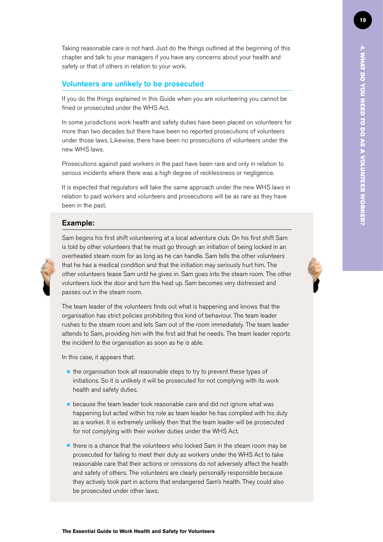Taking reasonable care is not hard. Just do the things outlined at the beginning of this chapter and talk to your managers if you have any concerns about your health and safety or that of others in relation to your work.

### Volunteers are unlikely to be prosecuted

If you do the things explained in this Guide when you are volunteering you cannot be fined or prosecuted under the WHS Act.

In some jurisdictions work health and safety duties have been placed on volunteers for more than two decades but there have been no reported prosecutions of volunteers under those laws. Likewise, there have been no prosecutions of volunteers under the new WHS laws.

Prosecutions against paid workers in the past have been rare and only in relation to serious incidents where there was a high degree of recklessness or negligence.

It is expected that regulators will take the same approach under the new WHS laws in relation to paid workers and volunteers and prosecutions will be as rare as they have been in the past.

### Example:



Sam begins his first shift volunteering at a local adventure club. On his first shift Sam is told by other volunteers that he must go through an initiation of being locked in an overheated steam room for as long as he can handle. Sam tells the other volunteers that he has a medical condition and that the initiation may seriously hurt him. The other volunteers tease Sam until he gives in. Sam goes into the steam room. The other volunteers lock the door and turn the heat up. Sam becomes very distressed and passes out in the steam room.

The team leader of the volunteers finds out what is happening and knows that the organisation has strict policies prohibiting this kind of behaviour. The team leader rushes to the steam room and lets Sam out of the room immediately. The team leader attends to Sam, providing him with the first aid that he needs. The team leader reports the incident to the organisation as soon as he is able.

In this case, it appears that:

- $\blacksquare$  the organisation took all reasonable steps to try to prevent these types of initiations. So it is unlikely it will be prosecuted for not complying with its work health and safety duties.
- $\blacksquare$  because the team leader took reasonable care and did not ignore what was happening but acted within his role as team leader he has complied with his duty as a worker. It is extremely unlikely then that the team leader will be prosecuted for not complying with their worker duties under the WHS Act.
- $\blacksquare$  there is a chance that the volunteers who locked Sam in the steam room may be prosecuted for failing to meet their duty as workers under the WHS Act to take reasonable care that their actions or omissions do not adversely affect the health and safety of others. The volunteers are clearly personally responsible because they actively took part in actions that endangered Sam's health. They could also be prosecuted under other laws.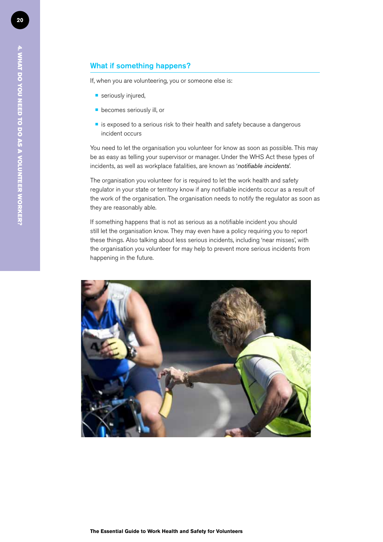If, when you are volunteering, you or someone else is:

- $\blacksquare$  seriously injured,
- $\blacksquare$  becomes seriously ill, or
- $\blacksquare$  is exposed to a serious risk to their health and safety because a dangerous incident occurs

You need to let the organisation you volunteer for know as soon as possible. This may be as easy as telling your supervisor or manager. Under the WHS Act these types of incidents, as well as workplace fatalities, are known as '*notifiable incidents*'.

The organisation you volunteer for is required to let the work health and safety regulator in your state or territory know if any notifiable incidents occur as a result of the work of the organisation. The organisation needs to notify the regulator as soon as they are reasonably able.

If something happens that is not as serious as a notifiable incident you should still let the organisation know. They may even have a policy requiring you to report these things. Also talking about less serious incidents, including 'near misses', with the organisation you volunteer for may help to prevent more serious incidents from happening in the future.

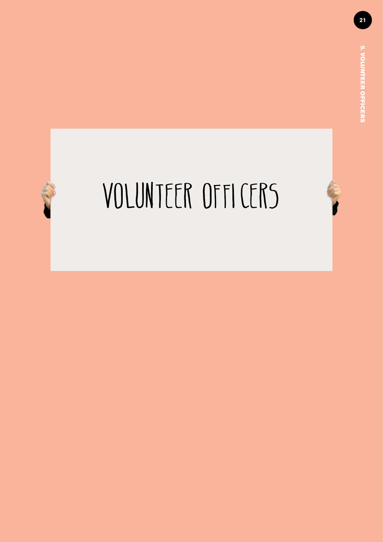# <span id="page-20-0"></span>VOLUNTEER OFFICERS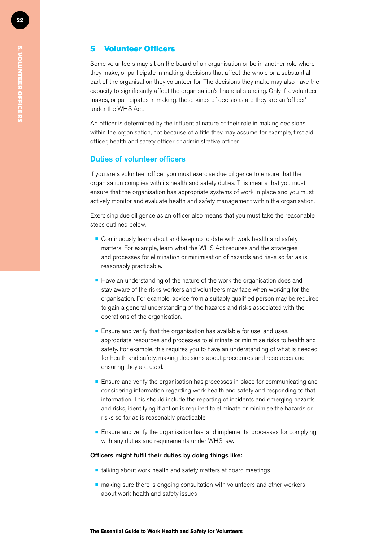### 5 Volunteer Officers

Some volunteers may sit on the board of an organisation or be in another role where they make, or participate in making, decisions that affect the whole or a substantial part of the organisation they volunteer for. The decisions they make may also have the capacity to significantly affect the organisation's financial standing. Only if a volunteer makes, or participates in making, these kinds of decisions are they are an 'officer' under the WHS Act.

An officer is determined by the influential nature of their role in making decisions within the organisation, not because of a title they may assume for example, first aid officer, health and safety officer or administrative officer.

### Duties of volunteer officers

If you are a volunteer officer you must exercise due diligence to ensure that the organisation complies with its health and safety duties. This means that you must ensure that the organisation has appropriate systems of work in place and you must actively monitor and evaluate health and safety management within the organisation.

Exercising due diligence as an officer also means that you must take the reasonable steps outlined below.

- Continuously learn about and keep up to date with work health and safety matters. For example, learn what the WHS Act requires and the strategies and processes for elimination or minimisation of hazards and risks so far as is reasonably practicable.
- $\blacksquare$  Have an understanding of the nature of the work the organisation does and stay aware of the risks workers and volunteers may face when working for the organisation. For example, advice from a suitably qualified person may be required to gain a general understanding of the hazards and risks associated with the operations of the organisation.
- $\blacksquare$  Ensure and verify that the organisation has available for use, and uses, appropriate resources and processes to eliminate or minimise risks to health and safety. For example, this requires you to have an understanding of what is needed for health and safety, making decisions about procedures and resources and ensuring they are used.
- **Ensure and verify the organisation has processes in place for communicating and** considering information regarding work health and safety and responding to that information. This should include the reporting of incidents and emerging hazards and risks, identifying if action is required to eliminate or minimise the hazards or risks so far as is reasonably practicable.
- $\blacksquare$  Ensure and verify the organisation has, and implements, processes for complying with any duties and requirements under WHS law.

### Officers might fulfil their duties by doing things like:

- $\blacksquare$  talking about work health and safety matters at board meetings
- $\blacksquare$  making sure there is ongoing consultation with volunteers and other workers about work health and safety issues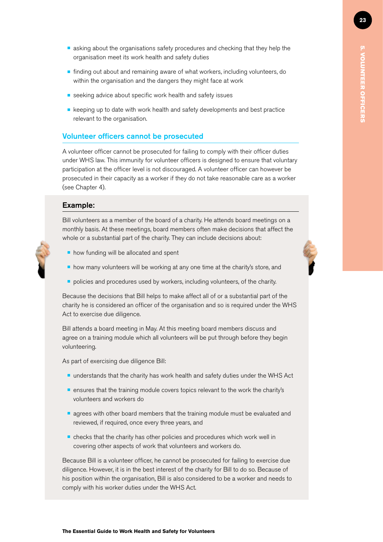- **E** asking about the organisations safety procedures and checking that they help the organisation meet its work health and safety duties
- **•** finding out about and remaining aware of what workers, including volunteers, do within the organisation and the dangers they might face at work
- $\blacksquare$  seeking advice about specific work health and safety issues
- $\blacksquare$  keeping up to date with work health and safety developments and best practice relevant to the organisation.

### Volunteer officers cannot be prosecuted

A volunteer officer cannot be prosecuted for failing to comply with their officer duties under WHS law. This immunity for volunteer officers is designed to ensure that voluntary participation at the officer level is not discouraged. A volunteer officer can however be prosecuted in their capacity as a worker if they do not take reasonable care as a worker (see Chapter 4).

### Example:

Bill volunteers as a member of the board of a charity. He attends board meetings on a monthly basis. At these meetings, board members often make decisions that affect the whole or a substantial part of the charity. They can include decisions about:

- $\blacksquare$  how funding will be allocated and spent
- $\blacksquare$  how many volunteers will be working at any one time at the charity's store, and
- $\blacksquare$  policies and procedures used by workers, including volunteers, of the charity.

Because the decisions that Bill helps to make affect all of or a substantial part of the charity he is considered an officer of the organisation and so is required under the WHS Act to exercise due diligence.

Bill attends a board meeting in May. At this meeting board members discuss and agree on a training module which all volunteers will be put through before they begin volunteering.

As part of exercising due diligence Bill:

- **understands that the charity has work health and safety duties under the WHS Act**
- **E** ensures that the training module covers topics relevant to the work the charity's volunteers and workers do
- $\blacksquare$  agrees with other board members that the training module must be evaluated and reviewed, if required, once every three years, and
- $\blacksquare$  checks that the charity has other policies and procedures which work well in covering other aspects of work that volunteers and workers do.

Because Bill is a volunteer officer, he cannot be prosecuted for failing to exercise due diligence. However, it is in the best interest of the charity for Bill to do so. Because of his position within the organisation, Bill is also considered to be a worker and needs to comply with his worker duties under the WHS Act.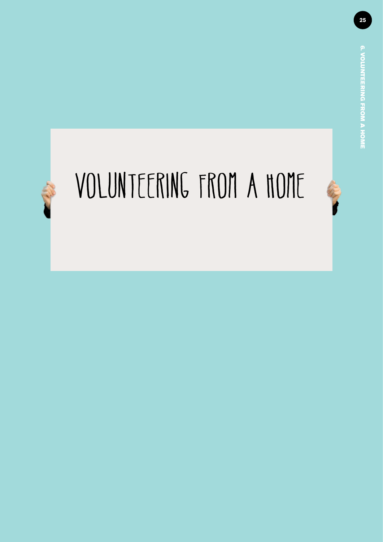## <span id="page-24-0"></span>Volunteering from a home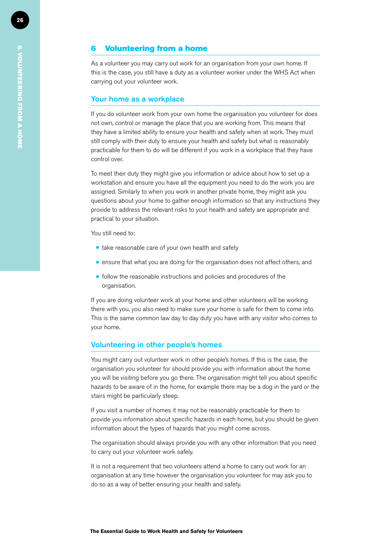### 6 Volunteering from a home

As a volunteer you may carry out work for an organisation from your own home. If this is the case, you still have a duty as a volunteer worker under the WHS Act when carrying out your volunteer work.

### Your home as a workplace

If you do volunteer work from your own home the organisation you volunteer for does not own, control or manage the place that you are working from. This means that they have a limited ability to ensure your health and safety when at work. They must still comply with their duty to ensure your health and safety but what is reasonably practicable for them to do will be different if you work in a workplace that they have control over.

To meet their duty they might give you information or advice about how to set up a workstation and ensure you have all the equipment you need to do the work you are assigned. Similarly to when you work in another private home, they might ask you questions about your home to gather enough information so that any instructions they provide to address the relevant risks to your health and safety are appropriate and practical to your situation.

You still need to:

- $\blacksquare$  take reasonable care of your own health and safety
- $\blacksquare$  ensure that what you are doing for the organisation does not affect others, and
- $\blacksquare$  follow the reasonable instructions and policies and procedures of the organisation.

If you are doing volunteer work at your home and other volunteers will be working there with you, you also need to make sure your home is safe for them to come into. This is the same common law day to day duty you have with any visitor who comes to your home.

### Volunteering in other people's homes

You might carry out volunteer work in other people's homes. If this is the case, the organisation you volunteer for should provide you with information about the home you will be visiting before you go there. The organisation might tell you about specific hazards to be aware of in the home, for example there may be a dog in the yard or the stairs might be particularly steep.

If you visit a number of homes it may not be reasonably practicable for them to provide you information about specific hazards in each home, but you should be given information about the types of hazards that you might come across.

The organisation should always provide you with any other information that you need to carry out your volunteer work safely.

It is not a requirement that two volunteers attend a home to carry out work for an organisation at any time however the organisation you volunteer for may ask you to do so as a way of better ensuring your health and safety.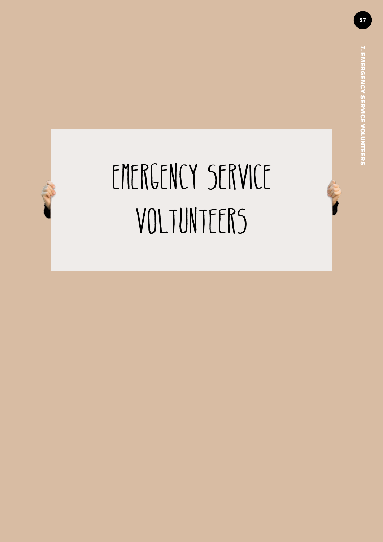### <span id="page-26-0"></span>EMERGENCY SERVICE VOLTUNTEERS

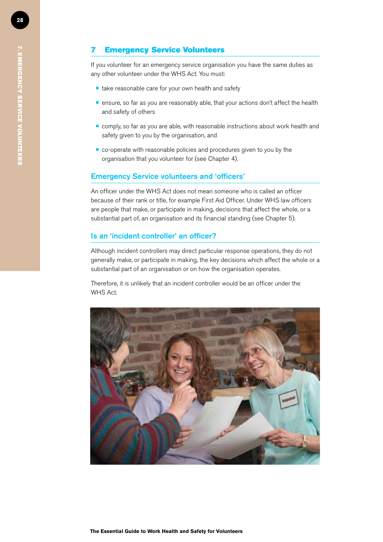### 7 Emergency Service Volunteers

If you volunteer for an emergency service organisation you have the same duties as any other volunteer under the WHS Act. You must:

- $\blacksquare$  take reasonable care for your own health and safety
- $\blacksquare$  ensure, so far as you are reasonably able, that your actions don't affect the health and safety of others
- $\blacksquare$  comply, so far as you are able, with reasonable instructions about work health and safety given to you by the organisation, and
- $\blacksquare$  co-operate with reasonable policies and procedures given to you by the organisation that you volunteer for (see Chapter 4).

### Emergency Service volunteers and 'officers'

An officer under the WHS Act does not mean someone who is called an officer because of their rank or title, for example First Aid Officer. Under WHS law officers are people that make, or participate in making, decisions that affect the whole, or a substantial part of, an organisation and its financial standing (see Chapter 5).

### Is an 'incident controller' an officer?

Although incident controllers may direct particular response operations, they do not generally make, or participate in making, the key decisions which affect the whole or a substantial part of an organisation or on how the organisation operates.

Therefore, it is unlikely that an incident controller would be an officer under the WHS Act.



 $\overline{\widetilde{G}}$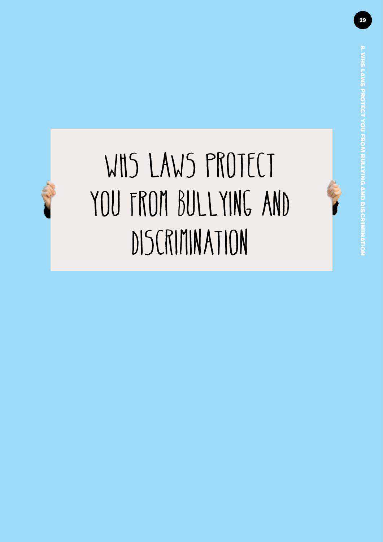### <span id="page-28-0"></span>WHS LAWS PROTECT you from bullying and discrimination

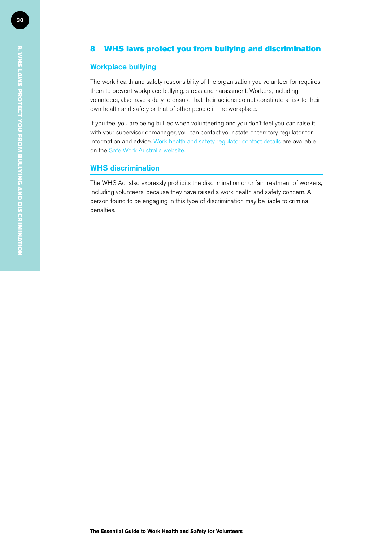### 8 WHS laws protect you from bullying and discrimination

### Workplace bullying

The work health and safety responsibility of the organisation you volunteer for requires them to prevent workplace bullying, stress and harassment. Workers, including volunteers, also have a duty to ensure that their actions do not constitute a risk to their own health and safety or that of other people in the workplace.

If you feel you are being bullied when volunteering and you don't feel you can raise it with your supervisor or manager, you can contact your state or territory regulator for information and advice. [Work health and safety regulator](http://www.safeworkaustralia.gov.au/sites/swa/aboutsafeworkaustralia/whoweworkwith/stateandterritoryauthorities/pages/stateandterritoryauthorities.aspx) contact details are available on the Safe Work Australia website.

### WHS discrimination

The WHS Act also expressly prohibits the discrimination or unfair treatment of workers, including volunteers, because they have raised a work health and safety concern. A person found to be engaging in this type of discrimination may be liable to criminal penalties.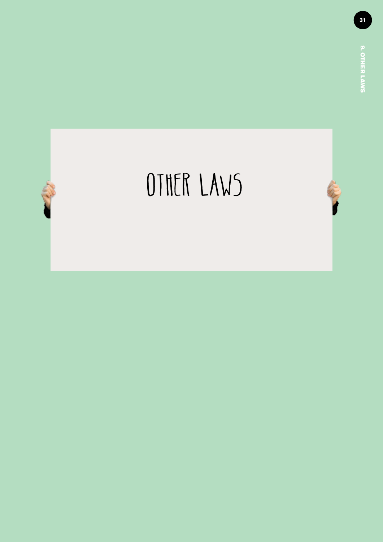<span id="page-30-0"></span>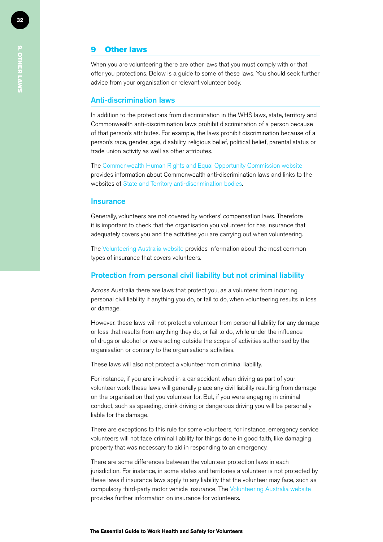### 9 Other laws

When you are volunteering there are other laws that you must comply with or that offer you protections. Below is a guide to some of these laws. You should seek further advice from your organisation or relevant volunteer body.

### Anti-discrimination laws

In addition to the protections from discrimination in the WHS laws, state, territory and Commonwealth anti-discrimination laws prohibit discrimination of a person because of that person's attributes. For example, the laws prohibit discrimination because of a person's race, gender, age, disability, religious belief, political belief, parental status or trade union activity as well as other attributes.

The [Commonwealth Human Rights and Equal Opportunity Commission website](http://www.hreoc.gov.au/index.htm) provides information about Commonwealth anti-discrimination laws and links to the websites of [State and Territory anti-discrimination bodies](http://www.hreoc.gov.au/about/links/index.html#ad).

### **Insurance**

Generally, volunteers are not covered by workers' compensation laws. Therefore it is important to check that the organisation you volunteer for has insurance that adequately covers you and the activities you are carrying out when volunteering.

The [Volunteering Australia website](http://www.volunteeringaustralia.org/Volunteering-Facts/-FAQs/FAQs-What-types-of-insurance-coverage-do-volunteers-have.asp) provides information about the most common types of insurance that covers volunteers.

### Protection from personal civil liability but not criminal liability

Across Australia there are laws that protect you, as a volunteer, from incurring personal civil liability if anything you do, or fail to do, when volunteering results in loss or damage.

However, these laws will not protect a volunteer from personal liability for any damage or loss that results from anything they do, or fail to do, while under the influence of drugs or alcohol or were acting outside the scope of activities authorised by the organisation or contrary to the organisations activities.

These laws will also not protect a volunteer from criminal liability.

For instance, if you are involved in a car accident when driving as part of your volunteer work these laws will generally place any civil liability resulting from damage on the organisation that you volunteer for. But, if you were engaging in criminal conduct, such as speeding, drink driving or dangerous driving you will be personally liable for the damage.

There are exceptions to this rule for some volunteers, for instance, emergency service volunteers will not face criminal liability for things done in good faith, like damaging property that was necessary to aid in responding to an emergency.

There are some differences between the volunteer protection laws in each jurisdiction. For instance, in some states and territories a volunteer is not protected by these laws if insurance laws apply to any liability that the volunteer may face, such as compulsory third-party motor vehicle insurance. [The Volunteering Australia website](http://www.volunteeringaustralia.org/Volunteering-Facts/-FAQs/What-types-of-insurance-coverage-do-volunteers-have-JH.asp) provides further information on insurance for volunteers.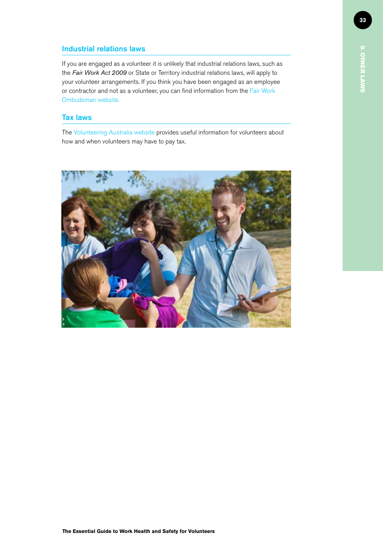### Industrial relations laws

If you are engaged as a volunteer it is unlikely that industrial relations laws, such as the *Fair Work Act 2009* or State or Territory industrial relations laws, will apply to your volunteer arrangements. If you think you have been engaged as an employee or contractor and not as a volunteer, you can find information from the Fair Work Ombudsman [website.](http://www.fairwork.gov.au/pay/student-placement-and-unpaid-work/pages/default.aspx)

### Tax laws

The [Volunteering Australia](http://www.volunteeringaustralia.org/Publications/Best-practice/Volunteers-and-Tax-Information.asp) website provides useful information for volunteers about how and when volunteers may have to pay tax.

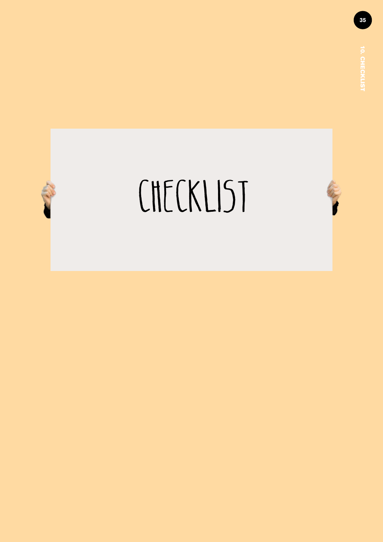<span id="page-34-0"></span>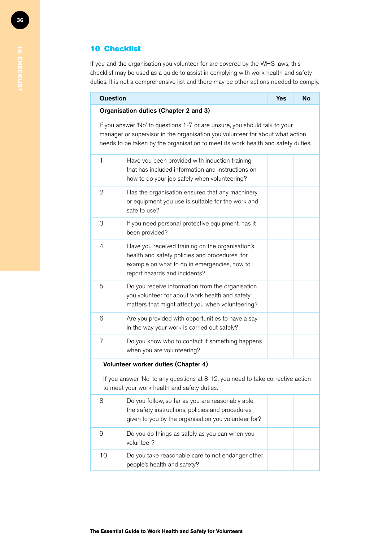### 10 Checklist

If you and the organisation you volunteer for are covered by the WHS laws, this checklist may be used as a guide to assist in complying with work health and safety duties. It is not a comprehensive list and there may be other actions needed to comply.

| <b>Question</b>                                                                                                                                                                                                                                 |                                                                                                                                                                                     | <b>Yes</b> | <b>No</b> |  |  |
|-------------------------------------------------------------------------------------------------------------------------------------------------------------------------------------------------------------------------------------------------|-------------------------------------------------------------------------------------------------------------------------------------------------------------------------------------|------------|-----------|--|--|
|                                                                                                                                                                                                                                                 | Organisation duties (Chapter 2 and 3)                                                                                                                                               |            |           |  |  |
| If you answer 'No' to questions 1-7 or are unsure, you should talk to your<br>manager or supervisor in the organisation you volunteer for about what action<br>needs to be taken by the organisation to meet its work health and safety duties. |                                                                                                                                                                                     |            |           |  |  |
| $\mathbf{1}$                                                                                                                                                                                                                                    | Have you been provided with induction training<br>that has included information and instructions on<br>how to do your job safely when volunteering?                                 |            |           |  |  |
| 2                                                                                                                                                                                                                                               | Has the organisation ensured that any machinery<br>or equipment you use is suitable for the work and<br>safe to use?                                                                |            |           |  |  |
| 3                                                                                                                                                                                                                                               | If you need personal protective equipment, has it<br>been provided?                                                                                                                 |            |           |  |  |
| 4                                                                                                                                                                                                                                               | Have you received training on the organisation's<br>health and safety policies and procedures, for<br>example on what to do in emergencies, how to<br>report hazards and incidents? |            |           |  |  |
| 5                                                                                                                                                                                                                                               | Do you receive information from the organisation<br>you volunteer for about work health and safety<br>matters that might affect you when volunteering?                              |            |           |  |  |
| 6                                                                                                                                                                                                                                               | Are you provided with opportunities to have a say<br>in the way your work is carried out safely?                                                                                    |            |           |  |  |
| 7                                                                                                                                                                                                                                               | Do you know who to contact if something happens<br>when you are volunteering?                                                                                                       |            |           |  |  |
|                                                                                                                                                                                                                                                 | Volunteer worker duties (Chapter 4)                                                                                                                                                 |            |           |  |  |
|                                                                                                                                                                                                                                                 | If you answer 'No' to any questions at 8-12, you need to take corrective action<br>to meet your work health and safety duties.                                                      |            |           |  |  |
| 8                                                                                                                                                                                                                                               | Do you follow, so far as you are reasonably able,<br>the safety instructions, policies and procedures<br>given to you by the organisation you volunteer for?                        |            |           |  |  |
| 9                                                                                                                                                                                                                                               | Do you do things as safely as you can when you<br>volunteer?                                                                                                                        |            |           |  |  |
| 10                                                                                                                                                                                                                                              | Do you take reasonable care to not endanger other<br>people's health and safety?                                                                                                    |            |           |  |  |